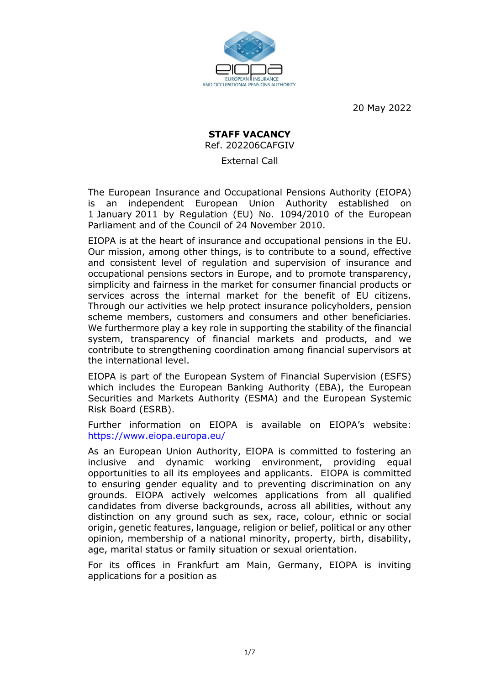

20 May 2022

# **STAFF VACANCY** Ref. 202206CAFGIV

External Call

The European Insurance and Occupational Pensions Authority (EIOPA) is an independent European Union Authority established on 1 January 2011 by Regulation (EU) No. 1094/2010 of the European Parliament and of the Council of 24 November 2010.

EIOPA is at the heart of insurance and occupational pensions in the EU. Our mission, among other things, is to contribute to a sound, effective and consistent level of regulation and supervision of insurance and occupational pensions sectors in Europe, and to promote transparency, simplicity and fairness in the market for consumer financial products or services across the internal market for the benefit of EU citizens. Through our activities we help protect insurance policyholders, pension scheme members, customers and consumers and other beneficiaries. We furthermore play a key role in supporting the stability of the financial system, transparency of financial markets and products, and we contribute to strengthening coordination among financial supervisors at the international level.

EIOPA is part of the European System of Financial Supervision (ESFS) which includes the European Banking Authority (EBA), the European Securities and Markets Authority (ESMA) and the European Systemic Risk Board (ESRB).

Further information on EIOPA is available on EIOPA's website: <https://www.eiopa.europa.eu/>

As an European Union Authority, EIOPA is committed to fostering an inclusive and dynamic working environment, providing equal opportunities to all its employees and applicants. EIOPA is committed to ensuring gender equality and to preventing discrimination on any grounds. EIOPA actively welcomes applications from all qualified candidates from diverse backgrounds, across all abilities, without any distinction on any ground such as sex, race, colour, ethnic or social origin, genetic features, language, religion or belief, political or any other opinion, membership of a national minority, property, birth, disability, age, marital status or family situation or sexual orientation.

For its offices in Frankfurt am Main, Germany, EIOPA is inviting applications for a position as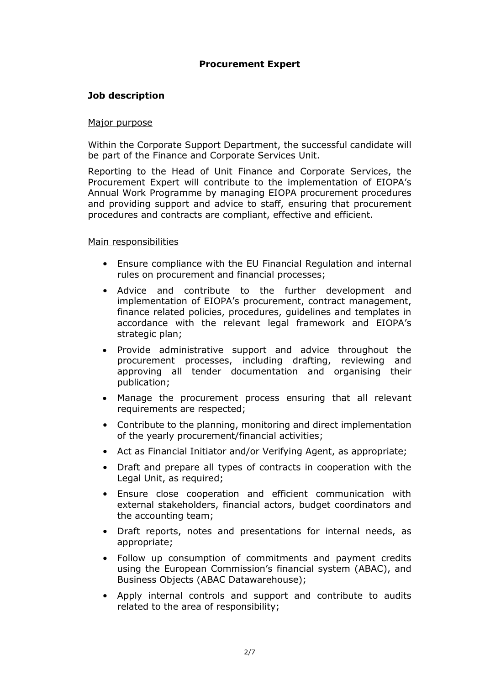## **Procurement Expert**

#### **Job description**

#### Major purpose

Within the Corporate Support Department, the successful candidate will be part of the Finance and Corporate Services Unit.

Reporting to the Head of Unit Finance and Corporate Services, the Procurement Expert will contribute to the implementation of EIOPA's Annual Work Programme by managing EIOPA procurement procedures and providing support and advice to staff, ensuring that procurement procedures and contracts are compliant, effective and efficient.

#### Main responsibilities

- Ensure compliance with the EU Financial Regulation and internal rules on procurement and financial processes;
- Advice and contribute to the further development and implementation of EIOPA's procurement, contract management, finance related policies, procedures, guidelines and templates in accordance with the relevant legal framework and EIOPA's strategic plan;
- Provide administrative support and advice throughout the procurement processes, including drafting, reviewing and approving all tender documentation and organising their publication;
- Manage the procurement process ensuring that all relevant requirements are respected;
- Contribute to the planning, monitoring and direct implementation of the yearly procurement/financial activities;
- Act as Financial Initiator and/or Verifying Agent, as appropriate;
- Draft and prepare all types of contracts in cooperation with the Legal Unit, as required;
- Ensure close cooperation and efficient communication with external stakeholders, financial actors, budget coordinators and the accounting team;
- Draft reports, notes and presentations for internal needs, as appropriate;
- Follow up consumption of commitments and payment credits using the European Commission's financial system (ABAC), and Business Objects (ABAC Datawarehouse);
- Apply internal controls and support and contribute to audits related to the area of responsibility;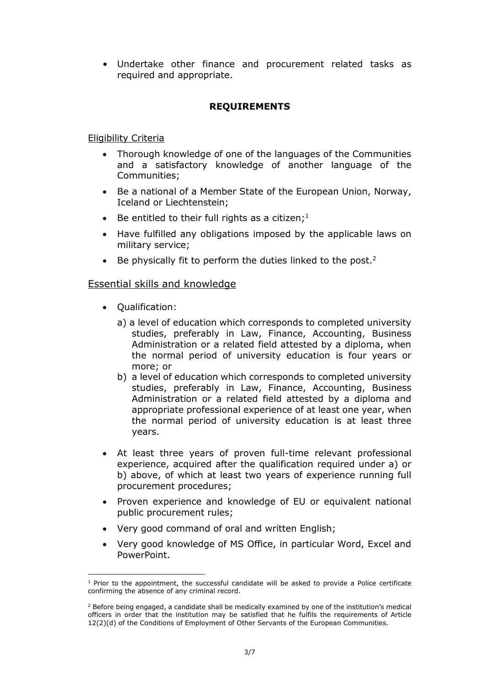• Undertake other finance and procurement related tasks as required and appropriate.

## **REQUIREMENTS**

## Eligibility Criteria

- Thorough knowledge of one of the languages of the Communities and a satisfactory knowledge of another language of the Communities;
- Be a national of a Member State of the European Union, Norway, Iceland or Liechtenstein;
- Be entitled to their full rights as a citizen;<sup>1</sup>
- Have fulfilled any obligations imposed by the applicable laws on military service;
- Be physically fit to perform the duties linked to the post.<sup>2</sup>

### Essential skills and knowledge

- Qualification:
	- a) a level of education which corresponds to completed university studies, preferably in Law, Finance, Accounting, Business Administration or a related field attested by a diploma, when the normal period of university education is four years or more; or
	- b) a level of education which corresponds to completed university studies, preferably in Law, Finance, Accounting, Business Administration or a related field attested by a diploma and appropriate professional experience of at least one year, when the normal period of university education is at least three years.
- At least three years of proven full-time relevant professional experience, acquired after the qualification required under a) or b) above, of which at least two years of experience running full procurement procedures;
- Proven experience and knowledge of EU or equivalent national public procurement rules;
- Very good command of oral and written English;
- Very good knowledge of MS Office, in particular Word, Excel and PowerPoint.

<sup>-</sup> $1$  Prior to the appointment, the successful candidate will be asked to provide a Police certificate confirming the absence of any criminal record.

<sup>&</sup>lt;sup>2</sup> Before being engaged, a candidate shall be medically examined by one of the institution's medical officers in order that the institution may be satisfied that he fulfils the requirements of Article 12(2)(d) of the Conditions of Employment of Other Servants of the European Communities.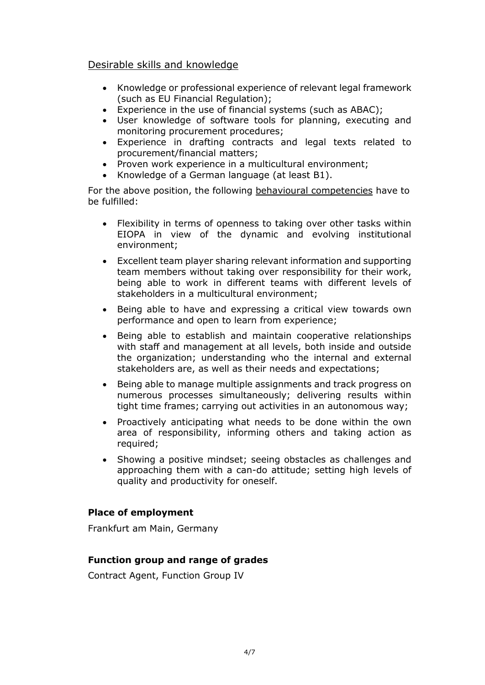# Desirable skills and knowledge

- Knowledge or professional experience of relevant legal framework (such as EU Financial Regulation);
- Experience in the use of financial systems (such as ABAC);
- User knowledge of software tools for planning, executing and monitoring procurement procedures;
- Experience in drafting contracts and legal texts related to procurement/financial matters;
- Proven work experience in a multicultural environment;
- Knowledge of a German language (at least B1).

For the above position, the following behavioural competencies have to be fulfilled:

- Flexibility in terms of openness to taking over other tasks within EIOPA in view of the dynamic and evolving institutional environment;
- Excellent team player sharing relevant information and supporting team members without taking over responsibility for their work, being able to work in different teams with different levels of stakeholders in a multicultural environment;
- Being able to have and expressing a critical view towards own performance and open to learn from experience;
- Being able to establish and maintain cooperative relationships with staff and management at all levels, both inside and outside the organization; understanding who the internal and external stakeholders are, as well as their needs and expectations;
- Being able to manage multiple assignments and track progress on numerous processes simultaneously; delivering results within tight time frames; carrying out activities in an autonomous way;
- Proactively anticipating what needs to be done within the own area of responsibility, informing others and taking action as required;
- Showing a positive mindset; seeing obstacles as challenges and approaching them with a can-do attitude; setting high levels of quality and productivity for oneself.

# **Place of employment**

Frankfurt am Main, Germany

## **Function group and range of grades**

Contract Agent, Function Group IV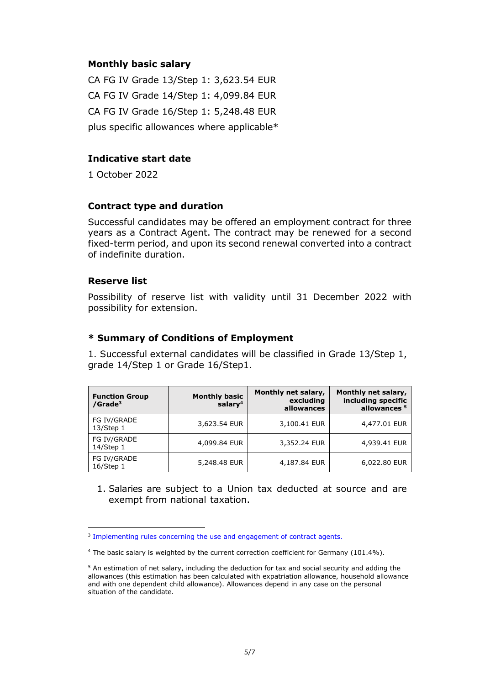### **Monthly basic salary**

CA FG IV Grade 13/Step 1: 3,623.54 EUR CA FG IV Grade 14/Step 1: 4,099.84 EUR CA FG IV Grade 16/Step 1: 5,248.48 EUR plus specific allowances where applicable\*

#### **Indicative start date**

1 October 2022

### **Contract type and duration**

Successful candidates may be offered an employment contract for three years as a Contract Agent. The contract may be renewed for a second fixed-term period, and upon its second renewal converted into a contract of indefinite duration.

### **Reserve list**

-

Possibility of reserve list with validity until 31 December 2022 with possibility for extension.

## **\* Summary of Conditions of Employment**

1. Successful external candidates will be classified in Grade 13/Step 1, grade 14/Step 1 or Grade 16/Step1.

| <b>Function Group</b><br>/Grade <sup>3</sup> | <b>Monthly basic</b><br>salary <sup>4</sup> | Monthly net salary,<br>excluding<br>allowances | Monthly net salary,<br>including specific<br>allowances <sup>5</sup> |
|----------------------------------------------|---------------------------------------------|------------------------------------------------|----------------------------------------------------------------------|
| FG IV/GRADE<br>13/Step 1                     | 3,623.54 EUR                                | 3,100.41 EUR                                   | 4,477.01 EUR                                                         |
| FG IV/GRADE<br>14/Step 1                     | 4,099.84 EUR                                | 3,352.24 EUR                                   | 4,939.41 EUR                                                         |
| FG IV/GRADE<br>16/Step 1                     | 5,248.48 EUR                                | 4,187.84 EUR                                   | 6,022.80 EUR                                                         |

1. Salaries are subject to a Union tax deducted at source and are exempt from national taxation.

<sup>&</sup>lt;sup>3</sup> [Implementing rules concerning the use and engagement of contract agents.](https://intranet/internal%20procedures/HR/EIOPA-MB-19-086%20Decision%20on%20the%20Engagement%20of%20Contract%20Agents%20(SIGNED).pdf)

<sup>4</sup> The basic salary is weighted by the current correction coefficient for Germany (101.4%).

<sup>5</sup> An estimation of net salary, including the deduction for tax and social security and adding the allowances (this estimation has been calculated with expatriation allowance, household allowance and with one dependent child allowance). Allowances depend in any case on the personal situation of the candidate.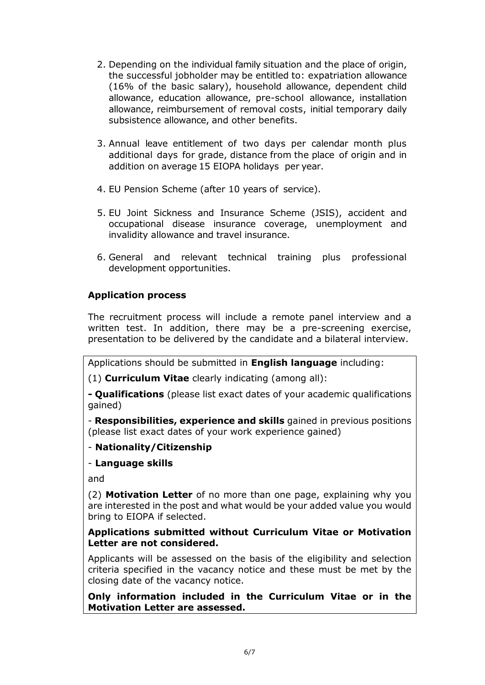- 2. Depending on the individual family situation and the place of origin, the successful jobholder may be entitled to: expatriation allowance (16% of the basic salary), household allowance, dependent child allowance, education allowance, pre-school allowance, installation allowance, reimbursement of removal costs, initial temporary daily subsistence allowance, and other benefits.
- 3. Annual leave entitlement of two days per calendar month plus additional days for grade, distance from the place of origin and in addition on average 15 EIOPA holidays per year.
- 4. EU Pension Scheme (after 10 years of service).
- 5. EU Joint Sickness and Insurance Scheme (JSIS), accident and occupational disease insurance coverage, unemployment and invalidity allowance and travel insurance.
- 6. General and relevant technical training plus professional development opportunities.

# **Application process**

The recruitment process will include a remote panel interview and a written test. In addition, there may be a pre-screening exercise, presentation to be delivered by the candidate and a bilateral interview.

Applications should be submitted in **English language** including:

(1) **Curriculum Vitae** clearly indicating (among all):

**- Qualifications** (please list exact dates of your academic qualifications gained)

- **Responsibilities, experience and skills** gained in previous positions (please list exact dates of your work experience gained)

# - **Nationality/Citizenship**

## - **Language skills**

and

(2) **Motivation Letter** of no more than one page, explaining why you are interested in the post and what would be your added value you would bring to EIOPA if selected.

## **Applications submitted without Curriculum Vitae or Motivation Letter are not considered.**

Applicants will be assessed on the basis of the eligibility and selection criteria specified in the vacancy notice and these must be met by the closing date of the vacancy notice.

**Only information included in the Curriculum Vitae or in the Motivation Letter are assessed.**